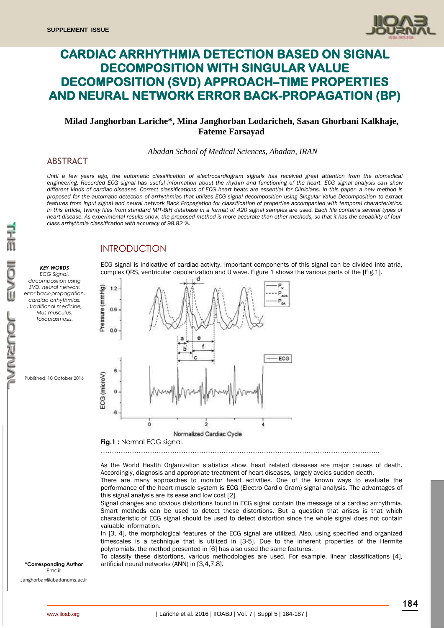

# **CARDIAC ARRHYTHMIA DETECTION BASED ON SIGNAL DECOMPOSITION WITH SINGULAR VALUE DECOMPOSITION (SVD) APPROACH–TIME PROPERTIES AND NEURAL NETWORK ERROR BACK-PROPAGATION (BP)**

## **Milad Janghorban Lariche\*, Mina Janghorban Lodaricheh, Sasan Ghorbani Kalkhaje, Fateme Farsayad**

*Abadan School of Medical Sciences, Abadan, IRAN*

### ABSTRACT

*Until a few years ago, the automatic classification of electrocardiogram signals has received great attention from the biomedical engineering. Recorded ECG signal has useful information about the rhythm and functioning of the heart. ECG signal analysis can show different kinds of cardiac diseases. Correct classifications of ECG heart beats are essential for Clinicians. In this paper, a new method is proposed for the automatic detection of arrhythmias that utilizes ECG signal decomposition using Singular Value Decomposition to extract features from input signal and neural network Back Propagation for classification of properties accompanied with temporal characteristics.*  In this article, twenty files from standard MIT-BIH database in a format of 420 signal samples are used. Each file contains several types of *heart disease. As experimental results show, the proposed method is more accurate than other methods, so that it has the capability of fourclass arrhythmia classification with accuracy of 98.82 %.*

## **INTRODUCTION**



Published: 10 October 2016

ECG signal is indicative of cardiac activity. Important components of this signal can be divided into atria, complex ORS, ventricular depolarization and U wave. Figure 1 shows the various parts of the [Fig.1].



……………………………………………………………………………………………………………..

As the World Health Organization statistics show, heart related diseases are major causes of death. Accordingly, diagnosis and appropriate treatment of heart diseases, largely avoids sudden death.

There are many approaches to monitor heart activities. One of the known ways to evaluate the performance of the heart muscle system is ECG (Electro Cardio Gram) signal analysis. The advantages of this signal analysis are its ease and low cost [2].

Signal changes and obvious distortions found in ECG signal contain the message of a cardiac arrhythmia. Smart methods can be used to detect these distortions. But a question that arises is that which characteristic of ECG signal should be used to detect distortion since the whole signal does not contain valuable information.

In [3, 4], the morphological features of the ECG signal are utilized. Also, using specified and organized timescales is a technique that is utilized in [3-5]. Due to the inherent properties of the Hermite polynomials, the method presented in [6] has also used the same features.

To classify these distortions, various methodologies are used. For example, linear classifications [4], **\*Corresponding Author** artificial neural networks (ANN) in [3,4,7,8].

Email:

[Janghorban@abadanums.ac.ir](mailto:Janghorban@abadanums.ac.ir)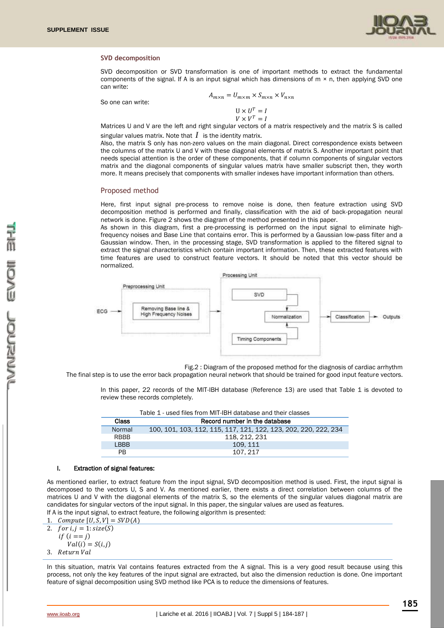

#### **SVD decomposition**

SVD decomposition or SVD transformation is one of important methods to extract the fundamental components of the signal. If A is an input signal which has dimensions of  $m \times n$ , then applying SVD one can write:

So one can write:

$$
A_{m \times n} = U_{m \times m} \times S_{m \times n} \times V_{n \times n}
$$

$$
U \times U^T = I
$$
  

$$
V \times V^T = I
$$

Matrices U and V are the left and right singular vectors of a matrix respectively and the matrix S is called singular values matrix. Note that  $\,I\,$  is the identity matrix.

Also, the matrix S only has non-zero values on the main diagonal. Direct correspondence exists between the columns of the matrix U and V with these diagonal elements of matrix S. Another important point that needs special attention is the order of these components, that if column components of singular vectors matrix and the diagonal components of singular values matrix have smaller subscript then, they worth more. It means precisely that components with smaller indexes have important information than others.

#### Proposed method

Here, first input signal pre-process to remove noise is done, then feature extraction using SVD decomposition method is performed and finally, classification with the aid of back-propagation neural network is done. Figure 2 shows the diagram of the method presented in this paper.

As shown in this diagram, first a pre-processing is performed on the input signal to eliminate highfrequency noises and Base Line that contains error. This is performed by a Gaussian low-pass filter and a Gaussian window. Then, in the processing stage, SVD transformation is applied to the filtered signal to extract the signal characteristics which contain important information. Then, these extracted features with time features are used to construct feature vectors. It should be noted that this vector should be normalized.



Fig.2 : Diagram of the proposed method for the diagnosis of cardiac arrhythm

The final step is to use the error back propagation neural network that should be trained for good input feature vectors.

In this paper, 22 records of the MIT-IBH database (Reference 13) are used that Table 1 is devoted to review these records completely.

|             | Table 1 - used files from MIT-1BH database and their classes    |  |  |  |
|-------------|-----------------------------------------------------------------|--|--|--|
| Class       | Record number in the database                                   |  |  |  |
| Normal      | 100, 101, 103, 112, 115, 117, 121, 122, 123, 202, 220, 222, 234 |  |  |  |
| <b>RBBB</b> | 118, 212, 231                                                   |  |  |  |
| I BBB       | 109.111                                                         |  |  |  |
| PB.         | 107.217                                                         |  |  |  |

Table 1 - used files from MIT-IBH database and their classes

#### I. Extraction of signal features:

As mentioned earlier, to extract feature from the input signal, SVD decomposition method is used. First, the input signal is decomposed to the vectors U, S and V. As mentioned earlier, there exists a direct correlation between columns of the matrices U and V with the diagonal elements of the matrix S, so the elements of the singular values diagonal matrix are candidates for singular vectors of the input signal. In this paper, the singular values are used as features. If A is the input signal, to extract feature, the following algorithm is presented:

1. Compute 
$$
[U, S, V] = SVD(A)
$$

2.  $for i, j = 1: size(S)$  $if (i == j)$ 

 $Val(i) = S(i,j)$ 3. Return Val

In this situation, matrix Val contains features extracted from the A signal. This is a very good result because using this process, not only the key features of the input signal are extracted, but also the dimension reduction is done. One important feature of signal decomposition using SVD method like PCA is to reduce the dimensions of features.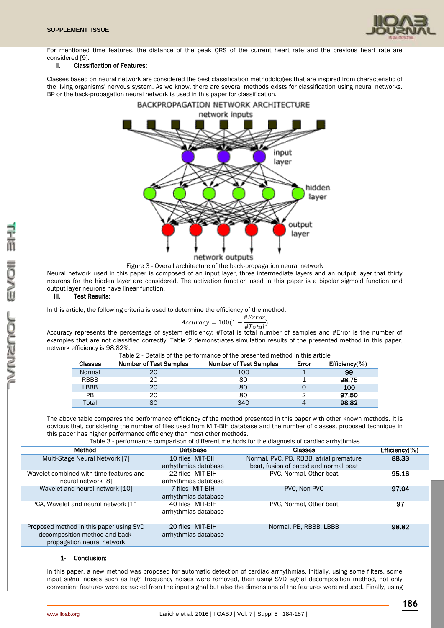

For mentioned time features, the distance of the peak QRS of the current heart rate and the previous heart rate are considered [9].

#### II. Classification of Features:

Classes based on neural network are considered the best classification methodologies that are inspired from characteristic of the living organisms' nervous system. As we know, there are several methods exists for classification using neural networks. BP or the back-propagation neural network is used in this paper for classification.



Figure 3 - Overall architecture of the back-propagation neural network

Neural network used in this paper is composed of an input layer, three intermediate layers and an output layer that thirty neurons for the hidden layer are considered. The activation function used in this paper is a bipolar sigmoid function and output layer neurons have linear function.

#### III. Test Results:

In this article, the following criteria is used to determine the efficiency of the method:

$$
Accuracy = 100(1 - \frac{\# Error}{\# Total})
$$

 $Accuracy = 100(1 - \frac{m}{\#Total})$ <br>Accuracy represents the percentage of system efficiency; #Total is total number of samples and #Error is the number of examples that are not classified correctly. Table 2 demonstrates simulation results of the presented method in this paper, network efficiency is 98.82%.

| <b>Classes</b> | <b>Number of Test Samples</b> | <b>Number of Test Samples</b> | Error | Efficiency $(\% )$ |
|----------------|-------------------------------|-------------------------------|-------|--------------------|
| Normal         | 20                            | 100                           |       | 99                 |
| <b>RBBB</b>    | 20                            | 80                            |       | 98.75              |
| LBBB           | 20                            | 80                            |       | 100                |
| PB             | 20                            | 80                            |       | 97.50              |
| Total          | 80                            | 340                           |       | 98.82              |

Table 2 - Details of the performance of the presented method in this article

The above table compares the performance efficiency of the method presented in this paper with other known methods. It is obvious that, considering the number of files used from MIT-BIH database and the number of classes, proposed technique in this paper has higher performance efficiency than most other methods.

Table 3 - performance comparison of different methods for the diagnosis of cardiac arrhythmias

| Method                                                                                                  | Database                                 | <b>Classes</b>                          | Efficiency $(\% )$ |
|---------------------------------------------------------------------------------------------------------|------------------------------------------|-----------------------------------------|--------------------|
| Multi-Stage Neural Network [7]                                                                          | 10 files MIT-BIH                         | Normal, PVC, PB, RBBB, atrial premature | 88.33              |
|                                                                                                         | arrhythmias database                     | beat, fusion of paced and normal beat   |                    |
| Wavelet combined with time features and                                                                 | 22 files MIT-BIH                         | PVC, Normal, Other beat                 | 95.16              |
| neural network [8]                                                                                      | arrhythmias database                     |                                         |                    |
| Wavelet and neural network [10]                                                                         | 7 files MIT-BIH                          | PVC. Non PVC                            | 97.04              |
|                                                                                                         | arrhythmias database                     |                                         |                    |
| PCA, Wavelet and neural network [11]                                                                    | 40 files MIT-BIH<br>arrhythmias database | PVC, Normal, Other beat                 | 97                 |
| Proposed method in this paper using SVD<br>decomposition method and back-<br>propagation neural network | 20 files MIT-BIH<br>arrhythmias database | Normal, PB, RBBB, LBBB                  | 98.82              |

#### 1- Conclusion:

In this paper, a new method was proposed for automatic detection of cardiac arrhythmias. Initially, using some filters, some input signal noises such as high frequency noises were removed, then using SVD signal decomposition method, not only convenient features were extracted from the input signal but also the dimensions of the features were reduced. Finally, using